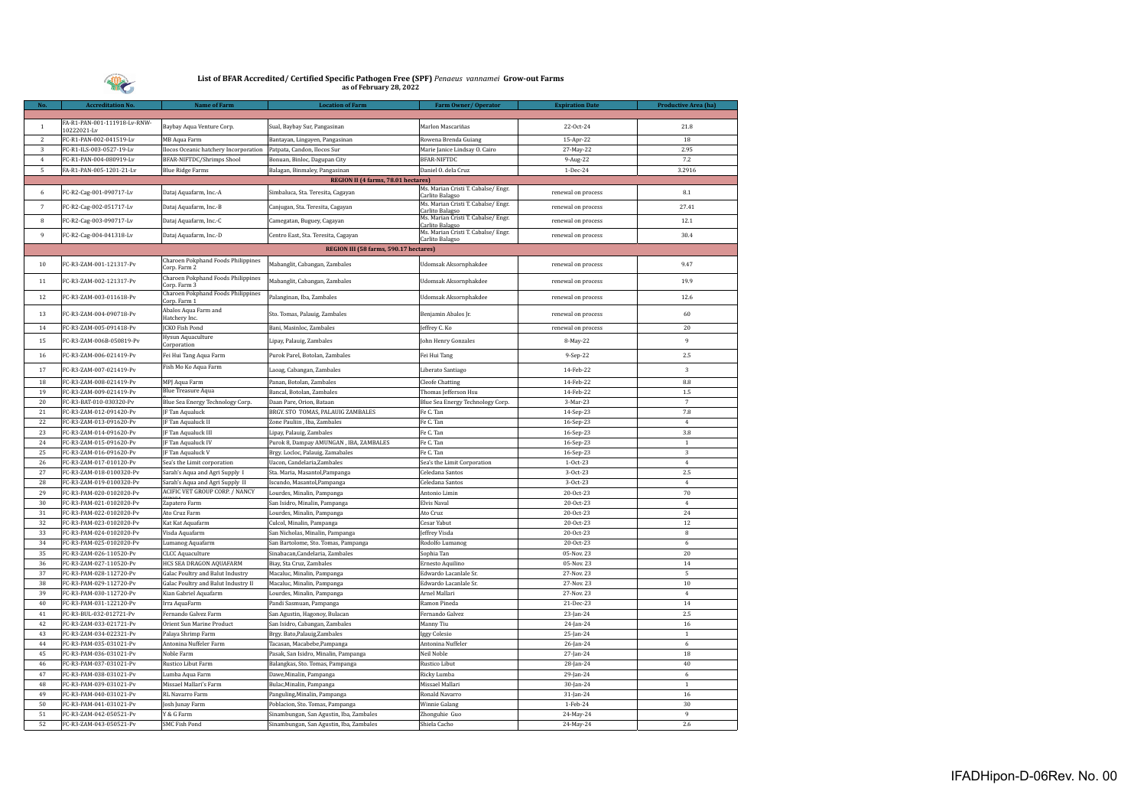

| No.            | <b>Accreditation No.</b>               | <b>Name of Farm</b>                                | <b>Location of Farm</b>                 | Farm Owner/Operator                                    | <b>Expiration Date</b> | Productive Area (ha) |
|----------------|----------------------------------------|----------------------------------------------------|-----------------------------------------|--------------------------------------------------------|------------------------|----------------------|
|                |                                        |                                                    |                                         |                                                        |                        |                      |
| $\mathbf{1}$   | FA-R1-PAN-001-111918-Lv-RNW-           | Baybay Aqua Venture Corp.                          | Sual, Baybay Sur, Pangasinan            | Marlon Mascariñas                                      | 22-Oct-24              | 21.8                 |
| $\overline{2}$ | 10222021-Lv<br>FC-R1-PAN-002-041519-Lv | MB Aqua Farm                                       | Bantayan, Lingayen, Pangasinan          | Rowena Brenda Guiang                                   | 15-Apr-22              | 18                   |
| $\sqrt{3}$     | FC-R1-ILS-003-0527-19-Lv               | Ilocos Oceanic hatchery Incorporation              | Patpata, Candon, Ilocos Sur             | Marie Janice Lindsay O. Cairo                          | 27-May-22              | 2.95                 |
| $\overline{4}$ | FC-R1-PAN-004-080919-Lv                | <b>BFAR-NIFTDC/Shrimps Shool</b>                   | Bonuan, Binloc, Dagupan City            | <b>BFAR-NIFTDC</b>                                     | 9-Aug-22               | 7.2                  |
| 5              | FA-R1-PAN-005-1201-21-Lv               | <b>Blue Ridge Farms</b>                            | Balagan, Binmaley, Pangasinan           | Daniel O. dela Cruz                                    | 1-Dec-24               | 3.2916               |
|                |                                        |                                                    | REGION II (4 farms, 78.01 hectares)     |                                                        |                        |                      |
|                |                                        |                                                    |                                         | Ms. Marian Cristi T. Cabalse/ Engr.                    |                        |                      |
| 6              | FC-R2-Cag-001-090717-Lv                | Dataj Aquafarm, Inc.-A                             | Simbaluca, Sta. Teresita, Cagayan       | Carlito Balagso                                        | renewal on process     | 8.1                  |
| $\overline{7}$ | FC-R2-Cag-002-051717-Lv                | Dataj Aquafarm, Inc.-B                             | Canjugan, Sta. Teresita, Cagayan        | Ms. Marian Cristi T. Cabalse/ Engr.<br>Carlito Balagso | renewal on process     | 27.41                |
| $\bf8$         | FC-R2-Cag-003-090717-Lv                | Dataj Aquafarm, Inc.-C                             | Camegatan, Buguey, Cagayan              | Ms. Marian Cristi T. Cabalse/ Engr.<br>Carlito Balagso | renewal on process     | 12.1                 |
| 9              | FC-R2-Cag-004-041318-Lv                | Dataj Aquafarm, Inc.-D                             | Centro East, Sta. Teresita, Cagayan     | Ms. Marian Cristi T. Cabalse/ Engr.<br>Carlito Balagso | renewal on process     | 30.4                 |
|                |                                        |                                                    | REGION III (58 farms, 590.17 hectares)  |                                                        |                        |                      |
| $10\,$         | FC-R3-ZAM-001-121317-Pv                | Charoen Pokphand Foods Philippines<br>Corp. Farm 2 | Mabanglit, Cabangan, Zambales           | Udomsak Aksornphakdee                                  | renewal on process     | 9.47                 |
| $11\,$         | FC-R3-ZAM-002-121317-Pv                | Charoen Pokphand Foods Philippines                 | Mabanglit, Cabangan, Zambales           | Udomsak Aksornphakdee                                  | renewal on process     | 19.9                 |
| 12             | FC-R3-ZAM-003-011618-Pv                | Corp. Farm 3<br>Charoen Pokphand Foods Philippines | Palanginan, Iba, Zambales               | Udomsak Aksornphakdee                                  | renewal on process     | 12.6                 |
|                |                                        | Corp. Farm 1<br>Abalos Aqua Farm and               |                                         |                                                        |                        |                      |
| $13\,$         | FC-R3-ZAM-004-090718-Pv                | Hatchery Inc.                                      | Sto. Tomas, Palauig, Zambales           | Benjamin Abalos Jr.                                    | renewal on process     | 60                   |
| 14             | FC-R3-ZAM-005-091418-Pv                | JCKO Fish Pond                                     | Bani, Masinloc, Zambales                | Jeffrey C. Ko                                          | renewal on process     | 20                   |
| 15             | FC-R3-ZAM-006B-050819-Pv               | Hysun Aquaculture<br>Corporation                   | Lipay, Palauig, Zambales                | John Henry Gonzales                                    | 8-May-22               | 9                    |
| 16             | FC-R3-ZAM-006-021419-Pv                | Fei Hui Tang Aqua Farm                             | Purok Parel, Botolan, Zambales          | Fei Hui Tang                                           | 9-Sep-22               | 2.5                  |
| 17             | FC-R3-ZAM-007-021419-Pv                | Fish Mo Ko Aqua Farm                               | Laoag, Cabangan, Zambales               | Liberato Santiago                                      | 14-Feb-22              | 3                    |
| 18             | FC-R3-ZAM-008-021419-Pv                | MPJ Aqua Farm                                      | Panan, Botolan, Zambales                | <b>Cleofe Chatting</b>                                 | 14-Feb-22              | 8.8                  |
| 19             | FC-R3-ZAM-009-021419-Pv                | <b>Blue Treasure Aqua</b>                          | Bancal, Botolan, Zambales               | Thomas Jefferson Hsu                                   | 14-Feb-22              | $1.5\,$              |
| 20             | FC-R3-BAT-010-030320-Pv                | Blue Sea Energy Technology Corp.                   | Daan Pare, Orion, Bataan                | Blue Sea Energy Technology Corp.                       | 3-Mar-23               | $\overline{7}$       |
| 21             | FC-R3-ZAM-012-091420-Pv                | JF Tan Aqualuck                                    | BRGY. STO TOMAS, PALAUIG ZAMBALES       | Fe C. Tan                                              | 14-Sep-23              | 7.8                  |
| 22             | FC-R3-ZAM-013-091620-Pv                | JF Tan Aqualuck II                                 | Zone Pauliin, Iba, Zambales             | Fe C. Tan                                              | 16-Sep-23              | $\overline{4}$       |
| 23             | FC-R3-ZAM-014-091620-Pv                | JF Tan Aqualuck III                                | Lipay, Palauig, Zambales                | Fe C. Tan                                              | 16-Sep-23              | 3.8                  |
| 24             | FC-R3-ZAM-015-091620-Pv                | JF Tan Aqualuck IV                                 | Purok 8, Dampay AMUNGAN, IBA, ZAMBALES  | Fe C. Tan                                              | 16-Sep-23              | $\overline{1}$       |
| 25             | FC-R3-ZAM-016-091620-Pv                | JF Tan Aqualuck V                                  | Brgy. Locloc, Palauig, Zamabales        | Fe C. Tan                                              | 16-Sep-23              | $\sqrt{3}$           |
| 26             | FC-R3-ZAM-017-010120-Pv                | Sea's the Limit corporation                        | Uacon, Candelaria, Zambales             | Sea's the Limit Corporation                            | $1-0ct-23$             | $\overline{4}$       |
| 27             | FC-R3-ZAM-018-0100320-Pv               | Sarah's Aqua and Agri Supply I                     | Sta. Maria, Masantol, Pampanga          | Celedana Santos                                        | 3-Oct-23               | 2.5                  |
| 28             | FC-R3-ZAM-019-0100320-Pv               | Sarah's Aqua and Agri Supply II                    | Iscundo, Masantol, Pampanga             | Celedana Santos                                        | 3-Oct-23               | $\,4\,$              |
| 29             | FC-R3-PAM-020-0102020-Pv               | ACIFIC VET GROUP CORP. / NANCY                     | Lourdes, Minalin, Pampanga              | Antonio Limin                                          | 20-Oct-23              | 70                   |
| 30             | FC-R3-PAM-021-0102020-Pv               | Zapatero Farm                                      | San Isidro, Minalin, Pampanga           | Elvis Naval                                            | 20-Oct-23              | $\overline{4}$       |
| 31             | FC-R3-PAM-022-0102020-Pv               | Ato Cruz Farm                                      | Lourdes, Minalin, Pampanga              | Ato Cruz                                               | 20-Oct-23              | 24                   |
| 32             | FC-R3-PAM-023-0102020-Pv               | Kat Kat Aquafarm                                   | Culcol, Minalin, Pampanga               | Cesar Yabut                                            | 20-Oct-23              | 12                   |
| 33             | FC-R3-PAM-024-0102020-Pv               | Visda Aquafarm                                     | San Nicholas, Minalin, Pampanga         | effrey Visda                                           | 20-Oct-23              | $\bf8$               |
| 34             | FC-R3-PAM-025-0102020-Pv               | Lumanog Aquafarm                                   | San Bartolome, Sto. Tomas, Pampanga     | Rodolfo Lumanog                                        | 20-Oct-23              | 6                    |
| 35             | FC-R3-ZAM-026-110520-Pv                | <b>CLCC Aquaculture</b>                            | Sinabacan, Candelaria, Zambales         | Sophia Tan                                             | 05-Nov. 23             | 20                   |
| 36             | FC-R3-ZAM-027-110520-Pv                | HCS SEA DRAGON AQUAFARM                            | Biay, Sta Cruz, Zambales                | Ernesto Aquilino                                       | 05-Nov. 23             | 14                   |
| 37             | FC-R3-PAM-028-112720-Pv                | Galac Poultry and Balut Industry                   | Macaluc, Minalin, Pampanga              | Edwardo Lacanlale Sr.                                  | 27-Nov. 23             | 5                    |
| 38             | FC-R3-PAM-029-112720-Pv                | Galac Poultry and Balut Industry II                | Macaluc, Minalin, Pampanga              | Edwardo Lacanlale Sr.                                  | 27-Nov. 23             | 10                   |
| 39             | FC-R3-PAM-030-112720-Pv                | Kian Gabriel Aquafarm                              | Lourdes, Minalin, Pampanga              | Arnel Mallari                                          | 27-Nov. 23             | $\overline{4}$       |
| 40             | FC-R3-PAM-031-122120-Pv                | Irra AquaFarm                                      | Pandi Sasmuan, Pampanga                 | Ramon Pineda                                           | 21-Dec-23              | 14                   |
| 41             | FC-R3-BUL-032-012721-Pv                | Fernando Galvez Farm                               | San Agustin, Hagonoy, Bulacan           | Fernando Galvez                                        | 23-Jan-24              | 2.5                  |
| 42             | FC-R3-ZAM-033-021721-Pv                | Orient Sun Marine Product                          | San Isidro, Cabangan, Zambales          | Manny Tiu                                              | 24-Jan-24              | $16\,$               |
| 43             | FC-R3-ZAM-034-022321-Pv                | Palaya Shrimp Farm                                 | Brgy. Bato, Palauig, Zambales           | Iggy Colesio                                           | 25-Jan-24              | $\overline{1}$       |
| 44             | FC-R3-PAM-035-031021-Pv                | Antonina Nuffeler Farm                             | Tacasan, Macabebe, Pampanga             | Antonina Nuffeler                                      | $26$ -Jan-24           | 6                    |
| 45             | FC-R3-PAM-036-031021-Pv                | Noble Farm                                         | Pasak, San Isidro, Minalin, Pampanga    | Neil Noble                                             | 27-Jan-24              | 18                   |
| 46             | FC-R3-PAM-037-031021-Pv                | Rustico Libut Farm                                 | Balangkas, Sto. Tomas, Pampanga         | Rustico Libut                                          | 28-Jan-24              | $40\,$               |
| 47             | FC-R3-PAM-038-031021-Pv                | Lumba Aqua Farm                                    | Dawe, Minalin, Pampanga                 | Ricky Lumba                                            | 29-Jan-24              | 6                    |
| 48             | FC-R3-PAM-039-031021-Pv                | Missael Mallari's Farm                             | Bulac, Minalin, Pampanga                | Missael Mallari                                        | 30-Jan-24              | $\mathbf{1}$         |
| 49             | FC-R3-PAM-040-031021-Pv                | RL Navarro Farm                                    | Panguling, Minalin, Pampanga            | Ronald Navarro                                         | 31-Jan-24              | $16\,$               |
| 50             | FC-R3-PAM-041-031021-Pv                | Josh Junay Farm                                    | Poblacion, Sto. Tomas, Pampanga         | Winnie Galang                                          | 1-Feb-24               | 30                   |
| 51             | FC-R3-ZAM-042-050521-Pv                | Y & G Farm                                         | Sinambungan, San Agustin, Iba, Zambales | Zhonguhie Guo                                          | 24-May-24              | 9                    |
| 52             | FC-R3-ZAM-043-050521-Pv                | <b>SMC Fish Pond</b>                               | Sinambungan, San Agustin, Iba, Zambales | Shiela Cacho                                           | 24-May-24              | 2.6                  |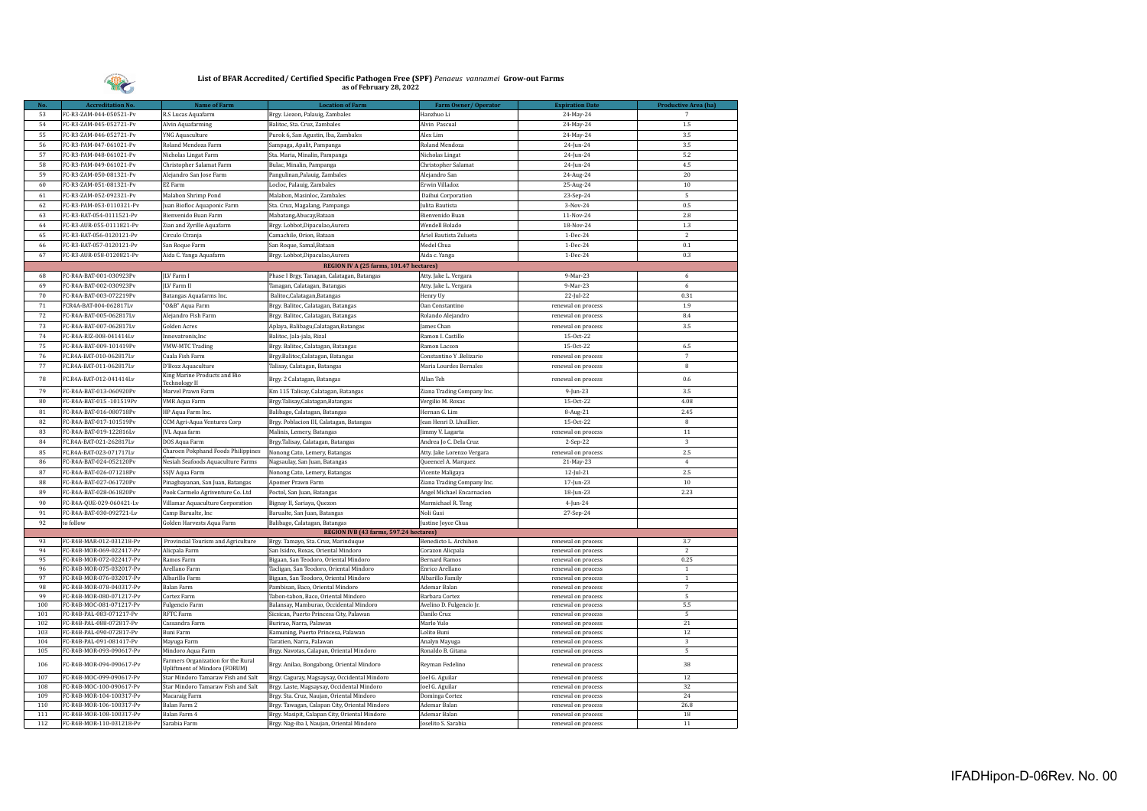

| No.        | <b>Accreditation No.</b>                             | <b>Name of Farm</b>                                                 | <b>Location of Farm</b>                                                                    | Farm Owner/Operator                 | <b>Expiration Date</b>                   | Productive Area (ha) |
|------------|------------------------------------------------------|---------------------------------------------------------------------|--------------------------------------------------------------------------------------------|-------------------------------------|------------------------------------------|----------------------|
| 53         | FC-R3-ZAM-044-050521-Pv                              | R.S Lucas Aquafarm                                                  | Brgy. Liozon, Palauig, Zambales                                                            | Hanzhuo Li                          | 24-May-24                                |                      |
| 54         | FC-R3-ZAM-045-052721-Pv                              | Alvin Aquafarming                                                   | Balitoc, Sta. Cruz, Zambales                                                               | Alvin Pascual                       | 24-May-24                                | 1.5                  |
| 55         | FC-R3-ZAM-046-052721-Pv                              | <b>YNG Aquaculture</b>                                              | Purok 6, San Agustin, Iba, Zambales                                                        | Alex Lim                            | 24-May-24                                | 3.5                  |
| 56         | FC-R3-PAM-047-061021-Pv                              | Roland Mendoza Farm                                                 | Sampaga, Apalit, Pampanga                                                                  | Roland Mendoza                      | 24-Jun-24                                | 3.5                  |
| 57         | FC-R3-PAM-048-061021-Pv                              | Nicholas Lingat Farm                                                | Sta. Maria, Minalin, Pampanga                                                              | Nicholas Lingat                     | 24-Jun-24                                | 5.2                  |
| 58         | FC-R3-PAM-049-061021-Pv                              | Christopher Salamat Farm                                            | Bulac, Minalin, Pampanga                                                                   | Christopher Salamat                 | 24-Jun-24                                | 4.5                  |
| 59         | FC-R3-ZAM-050-081321-Pv                              | Alejandro San Jose Farm                                             | Pangulinan, Palauig, Zambales                                                              | Alejandro San                       | 24-Aug-24                                | $20\,$               |
| 60         | FC-R3-ZAM-051-081321-Pv                              | EZ Farm                                                             | Locloc, Palauig, Zambales                                                                  | Erwin Villadoz                      | 25-Aug-24                                | 10                   |
| 61         | FC-R3-ZAM-052-092321-Pv                              | Malabon Shrimp Pond                                                 | Malabon, Masinloc, Zambales                                                                | Daihui Corporation                  | 23-Sep-24                                | $\mathbf 5$          |
| 62         | FC-R3-PAM-053-0110321-Pv                             | Juan Biofloc Aquaponic Farm                                         | Sta. Cruz, Magalang, Pampanga                                                              | Julita Bautista                     | 3-Nov-24                                 | 0.5                  |
| 63         | FC-R3-BAT-054-0111521-Pv                             | Bienvenido Buan Farm                                                | Mabatang, Abucay, Bataan                                                                   | Bienvenido Buan                     | 11-Nov-24                                | 2.8                  |
| 64         | FC-R3-AUR-055-0111821-Pv                             | Zian and Zyrille Aquafarm                                           | Brgy. Lobbot, Dipaculao, Aurora                                                            | Wendell Bolado                      | 18-Nov-24                                | 1.3                  |
| 65         | FC-R3-BAT-056-0120121-Pv                             | Circulo Ctranja                                                     | Camachile, Orion, Bataan                                                                   | Ariel Bautista Zulueta              | 1-Dec-24                                 | $\sqrt{2}$           |
| 66         | FC-R3-BAT-057-0120121-Pv                             | San Roque Farm                                                      | San Roque, Samal, Bataan                                                                   | Medel Chua                          | 1-Dec-24                                 | $0.1\,$              |
| 67         | FC-R3-AUR-058-0120821-Pv                             | Aida C. Yanga Aquafarm                                              | Brgy. Lobbot, Dipaculao, Aurora                                                            | Aida c. Yanga                       | 1-Dec-24                                 | 0.3                  |
|            |                                                      |                                                                     | REGION IV A (25 farms, 101.47 hectares)                                                    |                                     |                                          |                      |
| 68         | FC-R4A-BAT-001-030923Pv                              | <b>ILV</b> Farm I                                                   | Phase I Brgy. Tanagan, Calatagan, Batangas                                                 | Atty. Jake L. Vergara               | 9-Mar-23                                 | 6                    |
| 69         | FC-R4A-BAT-002-030923Pv                              | <b>ILV</b> Farm II                                                  | Tanagan, Calatagan, Batangas                                                               | Atty. Jake L. Vergara               | 9-Mar-23                                 | $\,$ 6               |
| 70         | FC-R4A-BAT-003-072219Pv                              | Batangas Aquafarms Inc.                                             | Balitoc, Calatagan, Batangas                                                               | Henry Uy                            | 22-Jul-22                                | 0.31                 |
| 71         | FCR4A-BAT-004-062817Lv                               | "O&B" Aqua Farm                                                     | Brgy. Balitoc, Calatagan, Batangas                                                         | Oan Constantino                     | renewal on process                       | 1.9                  |
| 72         | FC-R4A-BAT-005-062817Lv                              | Alejandro Fish Farm                                                 | Brgy. Balitoc, Calatagan, Batangas                                                         | Rolando Alejandro                   | renewal on process                       | 8.4                  |
| 73         | FC-R4A-BAT-007-062817Lv                              | <b>Golden Acres</b>                                                 | Aplaya, Balibagu, Calatagan, Batangas                                                      | James Chan                          | renewal on process                       | 3.5                  |
| 74         | FC-R4A-RIZ-008-041414Lv                              | Innovatronix, Inc                                                   | Balitoc, Jala-jala, Rizal                                                                  | Ramon I. Castillo                   | 15-Oct-22                                |                      |
| 75         | FC-R4A-BAT-009-101419Pv                              | <b>VMW-MTC Trading</b>                                              | Brgy. Balitoc, Calatagan, Batangas                                                         | Ramon Lacson                        | 15-Oct-22                                | 6.5                  |
| 76         | FC.R4A-BAT-010-062817Lv                              | Cuala Fish Farm                                                     | Brgy.Balitoc,Calatagan, Batangas                                                           | Constantino Y .Belizario            | renewal on process                       | $\overline{7}$       |
| 77         | FC.R4A-BAT-011-062817Lv                              | D'Bozz Aquaculture                                                  | Talisay, Calatagan, Batangas                                                               | Maria Lourdes Bernales              | renewal on process                       | 8                    |
| 78         | FC.R4A-BAT-012-041414Lv                              | King Marine Products and Bio                                        | Brgy. 2 Calatagan, Batangas                                                                | Allan Teh                           | renewal on process                       | 0.6                  |
|            |                                                      | <b>Technology II</b>                                                |                                                                                            |                                     |                                          |                      |
| 79         | FC-R4A-BAT-013-060920Pv                              | Marvel Prawn Farm                                                   | Km 115 Talisay, Calatagan, Batangas                                                        | Ziana Trading Company Inc.          | $9$ -Jun-23                              | 3.5                  |
| 80         | FC-R4A-BAT-015-101519Pv                              | <b>VMR Aqua Farm</b>                                                | Brgy.Talisay,Calatagan,Batangas                                                            | Vergilio M. Roxas                   | 15-Oct-22                                | 4.08                 |
| 81         | FC-R4A-BAT-016-080718Pv                              | HP Aqua Farm Inc.                                                   | Balibago, Calatagan, Batangas                                                              | Hernan G. Lim                       | 8-Aug-21                                 | 2.45                 |
| 82         | FC-R4A-BAT-017-101519Pv                              | CCM Agri-Aqua Ventures Corp                                         | Brgy. Poblacion III, Calatagan, Batangas                                                   | Jean Henri D. Lhuillier.            | 15-Oct-22                                | 8                    |
| 83         | FC-R4A-BAT-019-122816Lv                              | JVL Aqua farm                                                       | Malinis, Lemery, Batangas                                                                  | Jimmy V. Lagarta                    | renewal on process                       | $11\,$               |
| 84         | FC.R4A-BAT-021-262817Lv                              | DOS Aqua Farm                                                       | Brgy.Talisay, Calatagan, Batangas                                                          | Andrea Jo C. Dela Cruz              | 2-Sep-22                                 | 3                    |
| 85         | FC.R4A-BAT-023-071717Lv                              | Charoen Pokphand Foods Philippines                                  | Nonong Cato, Lemery, Batangas                                                              | Atty. Jake Lorenzo Vergara          | renewal on process                       | 2.5                  |
| 86         | FC-R4A-BAT-024-052120Pv                              | Nesiah Seafoods Aquaculture Farms                                   | Nagsaulay, San Juan, Batangas                                                              | Queencel A. Marquez                 | 21-May-23                                | $\overline{4}$       |
| 87<br>88   | FC-R4A-BAT-026-071218Pv                              | SSJV Aqua Farm                                                      | Nonong Cato, Lemery, Batangas                                                              | Vicente Maligaya                    | $12$ -Jul-21                             | 2.5<br>10            |
|            | FC-R4A-BAT-027-061720Pv                              | Pinagbayanan, San Juan, Batangas                                    | Apomer Prawn Farm                                                                          | Ziana Trading Company Inc.          | 17-Jun-23                                |                      |
| 89<br>90   | FC-R4A-BAT-028-061820Pv<br>FC-R4A-OUE-029-060421-Lv  | Pook Carmelo Agriventure Co. Ltd                                    | Poctol, San Juan, Batangas                                                                 | Angel Michael Encarnacion           | 18-Jun-23                                | 2.23                 |
|            |                                                      | Villamar Aquaculture Corporation                                    | Bignay II, Sariaya, Quezon                                                                 | Marmichael R. Teng                  | $4$ -Jun-24                              |                      |
| 91         | FC-R4A-BAT-030-092721-Lv                             | Camp Barualte, Inc                                                  | Barualte, San Juan, Batangas                                                               | Noli Gusi                           | 27-Sep-24                                |                      |
| 92         | to follow                                            | Golden Harvests Aqua Farm                                           | Balibago, Calatagan, Batangas<br>REGION IVB (43 farms, 597.24 hectares)                    | Justine Joyce Chua                  |                                          |                      |
| 93         | FC-R4B-MAR-012-031218-Pv                             | Provincial Tourism and Agriculture                                  | Brgy. Tamayo, Sta. Cruz, Marinduque                                                        | Benedicto L. Archihon               | renewal on process                       | 3.7                  |
| 94         | FC-R4B-MOR-069-022417-Pv                             | Alicpala Farm                                                       | San Isidro, Roxas, Oriental Mindoro                                                        | Corazon Alicpala                    | renewal on process                       | $\overline{c}$       |
| 95         | FC-R4B-MOR-072-022417-Pv                             | Ramos Farm                                                          | Bigaan, San Teodoro, Oriental Mindoro                                                      | <b>Bernard Ramos</b>                | renewal on process                       | 0.25                 |
| 96         | FC-R4B-MOR-075-032017-Pv                             | Arellano Farm                                                       | Tacligan, San Teodoro, Oriental Mindoro                                                    | Enrico Arellano                     | renewal on process                       | $\mathbf{1}$         |
| 97         | FC-R4B-MOR-076-032017-Pv                             | Albarillo Farm                                                      | Bigaan, San Teodoro, Oriental Mindoro                                                      | Albarillo Family                    | renewal on process                       | $\,1\,$              |
| 98         | FC-R4B-MOR-078-040317-Pv                             | Balan Farm                                                          | Pambisan, Baco, Oriental Mindoro                                                           | Ademar Balan                        | renewal on process                       | $\overline{7}$       |
| 99         | FC-R4B-MOR-080-071217-Pv                             | Cortez Farm                                                         | Tabon-tabon, Baco, Oriental Mindoro                                                        | Barbara Cortez                      | renewal on process                       | $\sqrt{5}$           |
| 100        | FC-R4B-MOC-081-071217-Pv                             | Fulgencio Farm                                                      | Balansay, Mamburao, Occidental Mindoro                                                     | Avelino D. Fulgencio Jr.            | renewal on process                       | 5.5                  |
| 101<br>102 | FC-R4B-PAL-083-071217-Pv<br>FC-R4B-PAL-088-072817-Pv | <b>RFTC Farm</b><br>Cassandra Farm                                  | Sicsican, Puerto Princesa City, Palawan<br>Burirao, Narra, Palawan                         | Danilo Cruz<br>Marlo Yulo           | renewal on process<br>renewal on process | $\overline{5}$<br>21 |
| 103        | FC-R4B-PAL-090-072817-Pv                             | Buni Farm                                                           | Kamuning, Puerto Princesa, Palawan                                                         | Lolito Buni                         | renewal on process                       | 12                   |
| 104        | FC-R4B-PAL-091-081417-Pv                             | Mayuga Farm                                                         | Taratien, Narra, Palawan                                                                   | Analyn Mayuga                       | renewal on process                       | $\sqrt{3}$           |
| 105        | FC-R4B-MOR-093-090617-Pv                             | Mindoro Aqua Farm                                                   | Brgy. Navotas, Calapan, Oriental Mindoro                                                   | Ronaldo B. Gitana                   | renewal on process                       | 5                    |
| 106        | FC-R4B-MOR-094-090617-Pv                             | Farmers Organization for the Rural<br>Upliftment of Mindoro (FORUM) | Brgy. Anilao, Bongabong, Oriental Mindoro                                                  | Reyman Fedelino                     | renewal on process                       | 38                   |
| 107        | FC-R4B-MOC-099-090617-Pv                             | Star Mindoro Tamaraw Fish and Salt                                  | Brgy. Caguray, Magsaysay, Occidental Mindoro                                               | Joel G. Aguilar                     | renewal on process                       | 12                   |
| 108        | FC-R4B-MOC-100-090617-Pv                             | Star Mindoro Tamaraw Fish and Salt                                  | Brgy. Laste, Magsaysay, Occidental Mindoro                                                 | oel G. Aguilar                      | renewal on process                       | 32                   |
| 109        | FC-R4B-MOR-104-100317-Pv                             | Macaraig Farm                                                       | Brgy. Sta. Cruz, Naujan, Oriental Mindoro                                                  | Dominga Cortez                      | renewal on process                       | 24                   |
| 110        | FC-R4B-MOR-106-100317-Pv                             | Balan Farm 2                                                        | Brgy. Tawagan, Calapan City, Oriental Mindoro                                              | Ademar Balan                        | renewal on process                       | 26.8                 |
| 111<br>112 | FC-R4B-MOR-108-100317-Pv<br>FC-R4B-MOR-110-031218-Pv | Balan Farm 4<br>Sarabia Farm                                        | Brgy. Masipit, Calapan City, Oriental Mindoro<br>Brgy. Nag-iba I, Naujan, Oriental Mindoro | Ademar Balan<br>Ioselito S. Sarabia | renewal on process<br>renewal on process | 18<br>11             |
|            |                                                      |                                                                     |                                                                                            |                                     |                                          |                      |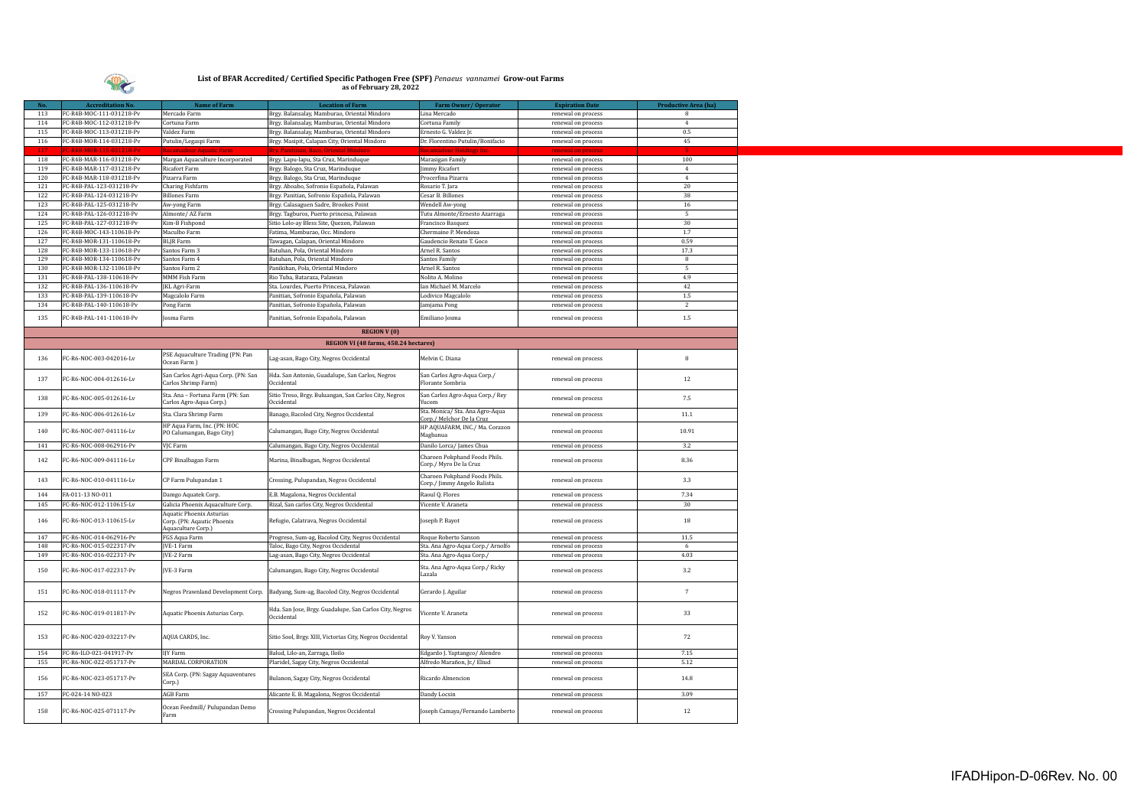

| No. | <b>Accreditation No.</b> | Name of Farm                                                                 | <b>Location of Farm</b>                                               | <b>Farm Owner/Operator</b>                                   | <b>Expiration Date</b> | <b>Productive Area (ha)</b> |
|-----|--------------------------|------------------------------------------------------------------------------|-----------------------------------------------------------------------|--------------------------------------------------------------|------------------------|-----------------------------|
| 113 | FC-R4B-MOC-111-031218-Pv | Mercado Farm                                                                 | Brgy. Balansalay, Mamburao, Oriental Mindoro                          | Lina Mercado                                                 | renewal on process     | -8                          |
| 114 | FC-R4B-MOC-112-031218-Pv | Cortuna Farm                                                                 | Brgy. Balansalay, Mamburao, Oriental Mindoro                          | Cortuna Family                                               | renewal on process     | $\overline{4}$              |
| 115 | FC-R4B-MOC-113-031218-Pv | Valdez Farm                                                                  | Brgy. Balansalay, Mamburao, Oriental Mindoro                          | Ernesto G. Valdez Jr.                                        | renewal on process     | $0.5\,$                     |
| 116 | FC-R4B-MOR-114-031218-Pv | Putulin/Legaspi Farm                                                         | Brgy. Masipit, Calapan City, Oriental Mindoro                         | Dr. Florentino Putulin/Bonifacio                             | renewal on process     | 45                          |
|     |                          |                                                                              |                                                                       |                                                              |                        |                             |
| 118 | FC-R4B-MAR-116-031218-Pv | Margan Aquaculture Incorporated                                              | Brgy. Lapu-lapu, Sta Cruz, Marinduque                                 | Marasigan Family                                             | renewal on process     | 100                         |
| 119 | FC-R4B-MAR-117-031218-Pv | Ricafort Farm                                                                | Brgy. Balogo, Sta Cruz, Marinduque                                    | limmy Ricafort                                               | renewal on process     | $\overline{4}$              |
| 120 | FC-R4B-MAR-118-031218-Pv | Pizarra Farm                                                                 | Brgy. Balogo, Sta Cruz, Marinduque                                    | Procerfina Pizarra                                           | renewal on process     | $\overline{4}$              |
| 121 | FC-R4B-PAL-123-031218-Pv | Charing Fishfarm                                                             | Brgy. Aboabo, Sofronio Española, Palawan                              | Rosario T. Jara                                              | renewal on process     | 20                          |
| 122 | FC-R4B-PAL-124-031218-Pv | <b>Billones Farm</b>                                                         | Brgy. Panitian, Sofronio Española, Palawan                            | Cesar B. Billones                                            | renewal on process     | 38                          |
| 123 | FC-R4B-PAL-125-031218-Pv | Aw-yong Farm                                                                 | Brgy. Calasaguen Sadre, Brookes Point                                 | Wendell Aw-yong                                              | renewal on process     | 16                          |
| 124 | FC-R4B-PAL-126-031218-Pv | Almonte/ AZ Farm                                                             | Brgy. Tagburos, Puerto princesa, Palawan                              | Tutu Almonte/Ernesto Azarraga                                | renewal on process     | 5.                          |
| 125 | FC-R4B-PAL-127-031218-Pv | Kim-B Fishpond                                                               | Sitio Lolo-ay Bless Site, Quezon, Palawan                             | Francisco Basquez                                            | renewal on process     | 30                          |
| 126 | FC-R4B-MOC-143-110618-Pv | Maculbo Farm                                                                 | Fatima, Mamburao, Occ. Mindoro                                        | Chermaine P. Mendoza                                         | renewal on process     | 1.7                         |
| 127 | FC-R4B-MOR-131-110618-Pv | BLJR Farm                                                                    | Tawagan, Calapan, Oriental Mindoro                                    | Gaudencio Renato T. Goco                                     | renewal on process     | 0.59                        |
| 128 | FC-R4B-MOR-133-110618-Pv | Santos Farm 3                                                                | Batuhan, Pola, Oriental Mindoro                                       | Arnel R. Santos                                              | renewal on process     | 17.3                        |
| 129 | FC-R4B-MOR-134-110618-Pv | Santos Farm 4                                                                | Batuhan, Pola, Oriental Mindoro                                       | Santos Family                                                | renewal on process     | 8                           |
| 130 | FC-R4B-MOR-132-110618-Pv | Santos Farm 2                                                                | Panikihan, Pola, Oriental Mindoro                                     | Arnel R. Santos                                              | renewal on process     | -5                          |
| 131 | FC-R4B-PAL-138-110618-Pv | MMM Fish Farm                                                                | Rio Tuba, Bataraza, Palawan                                           | Nolito A. Molino                                             | renewal on process     | 4.9                         |
| 132 | FC-R4B-PAL-136-110618-Pv | JKL Agri-Farm                                                                | Sta. Lourdes, Puerto Princesa, Palawan                                | Ian Michael M. Marcelo                                       | renewal on process     | 42                          |
| 133 | FC-R4B-PAL-139-110618-Pv | Magcalolo Farm                                                               | Panitian, Sofronio Española, Palawan                                  | Lodivico Magcalolo                                           | renewal on process     | $1.5\,$                     |
| 134 | FC-R4B-PAL-140-110618-Pv | Pong Farm                                                                    | Panitian, Sofronio Española, Palawan                                  | Jamjama Pong                                                 | renewal on process     | $\overline{2}$              |
| 135 | FC-R4B-PAL-141-110618-Pv | osma Farm                                                                    | Panitian, Sofronio Española, Palawan                                  | Emiliano Josma                                               | renewal on process     | $1.5\,$                     |
|     |                          |                                                                              | <b>REGION V(0)</b>                                                    |                                                              |                        |                             |
|     |                          |                                                                              | REGION VI (48 farms, 458.24 hectares)                                 |                                                              |                        |                             |
| 136 | FC-R6-NOC-003-042016-Lv  | PSE Aquaculture Trading (PN: Pan<br>Ocean Farm)                              | Lag-asan, Bago City, Negros Occidental                                | Melvin C. Diana                                              | renewal on process     | 8                           |
| 137 | FC-R6-NOC-004-012616-Lv  | San Carlos Agri-Aqua Corp. (PN: San<br>Carlos Shrimp Farm)                   | Hda. San Antonio, Guadalupe, San Carlos, Negros<br>Occidental         | San Carlos Agro-Aqua Corp./<br>Florante Sombria              | renewal on process     | 12                          |
| 138 | FC-R6-NOC-005-012616-Lv  | Sta. Ana - Fortuna Farm (PN: San<br>Carlos Agro-Aqua Corp.)                  | Sitio Troso, Brgy. Buluangan, San Carlos City, Negros<br>Occidental   | San Carlos Agro-Aqua Corp./ Rey<br>ucom                      | renewal on process     | 7.5                         |
|     |                          |                                                                              |                                                                       | Sta. Monica/ Sta. Ana Agro-Aqua                              |                        |                             |
| 139 | FC-R6-NOC-006-012616-Lv  | Sta. Clara Shrimp Farm<br>HP Aqua Farm, Inc. (PN: HOC                        | Banago, Bacolod City, Negros Occidental                               | Corp./ Melchor De la Cruz<br>HP AQUAFARM, INC./ Ma. Corazon  | renewal on process     | 11.1                        |
| 140 | FC-R6-NOC-007-041116-Lv  | PO Calumangan, Bago City)                                                    | Calumangan, Bago City, Negros Occidental                              | Magbanua                                                     | renewal on process     | 10.91                       |
| 141 | FC-R6-NOC-008-062916-Pv  | VJC Farm                                                                     | Calumangan, Bago City, Negros Occidental                              | Danilo Lorca/ James Chua                                     | renewal on process     | 3.2                         |
| 142 | FC-R6-NOC-009-041116-Lv  | CPF Binalbagan Farm                                                          | Marina, Binalbagan, Negros Occidental                                 | Charoen Pokphand Foods Phils.<br>Corp./ Myro De la Cruz      | renewal on process     | 8.36                        |
| 143 | FC-R6-NOC-010-041116-Lv  | CP Farm Pulupandan 1                                                         | Crossing, Pulupandan, Negros Occidental                               | Charoen Pokphand Foods Phils.<br>Corp./ Jimmy Angelo Balista | renewal on process     | 3.3                         |
| 144 | FA-011-13 NO-011         | Damgo Aquatek Corp.                                                          | E.B. Magalona, Negros Occidental                                      | Raoul Q. Flores                                              | renewal on process     | 7.34                        |
| 145 | FC-R6-NOC-012-110615-Lv  | Galicia Phoenix Aquaculture Corp.                                            | Rizal, San carlos City, Negros Occidental                             | Vicente V. Araneta                                           | renewal on process     | 30                          |
| 146 | FC-R6-NOC-013-110615-Lv  | Aquatic Phoenix Asturias<br>Corp. (PN: Aqautic Phoenix<br>Aquaculture Corp.) | Refugio, Calatrava, Negros Occidental                                 | Joseph P. Bayot                                              | renewal on process     | 18                          |
| 147 | FC-R6-NOC-014-062916-Pv  | FGS Aqua Farm                                                                | Progreso, Sum-ag, Bacolod City, Negros Occidental                     | Roque Roberto Sanson                                         | renewal on process     | 11.5                        |
| 148 | FC-R6-NOC-015-022317-Pv  | JVE-1 Farm                                                                   | Taloc, Bago City, Negros Occidental                                   | Sta. Ana Agro-Aqua Corp./ Arnolfo                            | renewal on process     | -6                          |
| 149 | FC-R6-NOC-016-022317-Pv  | <b>IVE-2 Farm</b>                                                            | Lag-asan, Bago City, Negros Occidental                                | Sta. Ana Agro-Aqua Corp./                                    | renewal on process     | 4.03                        |
| 150 | FC-R6-NOC-017-022317-Pv  | <b>IVE-3 Farm</b>                                                            | Calumangan, Bago City, Negros Occidental                              | Sta. Ana Agro-Aqua Corp./ Ricky<br>Lazala                    | renewal on process     | 3.2                         |
| 151 | FC-R6-NOC-018-011117-Pv  | Negros Prawnland Development Corp.                                           | Badyang, Sum-ag, Bacolod City, Negros Occidental                      | Gerardo J. Aguilar                                           | renewal on process     | 7                           |
| 152 | FC-R6-NOC-019-011817-Pv  | Aquatic Phoenix Asturias Corp.                                               | Hda. San Jose, Brgy. Guadalupe, San Carlos City, Negros<br>Occidental | Vicente V. Araneta                                           | renewal on process     | 33                          |
| 153 | FC-R6-NOC-020-032217-Pv  | AQUA CARDS, Inc.                                                             | Sitio Sool, Brgy. XIII, Victorias City, Negros Occidental             | Roy V. Yanson                                                | renewal on process     | 72                          |
| 154 | FC-R6-ILO-021-041917-Pv  | IJY Farm                                                                     | Balud, Lilo-an, Zarraga, Iloilo                                       | Edgardo J. Yaptangco/ Alendro                                | renewal on process     | 7.15                        |
| 155 | FC-R6-NOC-022-051717-Pv  | MARDAL CORPORATION                                                           | Plaridel, Sagay City, Negros Occidental                               | Alfredo Marañon, Jr./ Eliud                                  | renewal on process     | 5.12                        |
| 156 | FC-R6-NOC-023-051717-Pv  | SEA Corp. (PN: Sagay Aquaventures<br>Corp.)                                  | Bulanon, Sagay City, Negros Occidental                                | Ricardo Almencion                                            | renewal on process     | 14.8                        |
| 157 | FC-024-14 NO-023         | <b>AGB</b> Farm                                                              | Alicante E. B. Magalona, Negros Occidental                            | Dandy Locsin                                                 | renewal on process     | 3.09                        |
| 158 | FC-R6-NOC-025-071117-Pv  | Ocean Feedmill/ Pulupandan Demo<br>Farm                                      | Crossing Pulupandan, Negros Occidental                                | Joseph Camaya/Fernando Lamberto                              | renewal on process     | 12                          |
|     |                          |                                                                              |                                                                       |                                                              |                        |                             |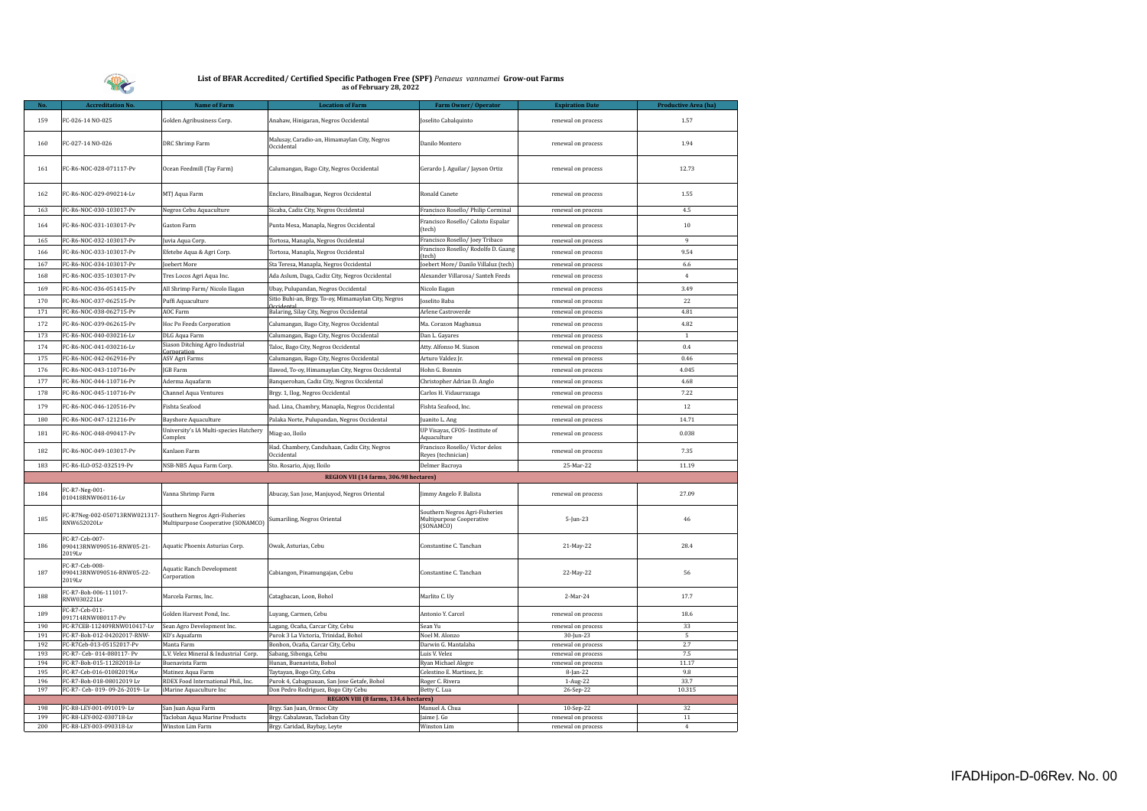

| Nο.        | <b>Accreditation No.</b>                               | Name of Farm                                                                                     | <b>Location of Farm</b>                                           | Farm Owner/Operator                                                     | <b>Expiration Date</b>                   | Productive Area (ha) |
|------------|--------------------------------------------------------|--------------------------------------------------------------------------------------------------|-------------------------------------------------------------------|-------------------------------------------------------------------------|------------------------------------------|----------------------|
| 159        | FC-026-14 NO-025                                       | Golden Agribusiness Corp.                                                                        | Anahaw, Hinigaran, Negros Occidental                              | Joselito Cabalquinto                                                    | renewal on process                       | 1.57                 |
| 160        | FC-027-14 NO-026                                       | DRC Shrimp Farm                                                                                  | Malusay, Caradio-an, Himamaylan City, Negros<br>Occidental        | Danilo Montero                                                          | renewal on process                       | 1.94                 |
| 161        | FC-R6-NOC-028-071117-Pv                                | Ocean Feedmill (Tay Farm)                                                                        | Calumangan, Bago City, Negros Occidental                          | Gerardo J. Aguilar/ Jayson Ortiz                                        | renewal on process                       | 12.73                |
| 162        | FC-R6-NOC-029-090214-Lv                                | MTJ Aqua Farm                                                                                    | Enclaro, Binalbagan, Negros Occidental                            | Ronald Canete                                                           | renewal on process                       | 1.55                 |
| 163        | FC-R6-NOC-030-103017-Pv                                | Negros Cebu Aquaculture                                                                          | Sicaba, Cadiz City, Negros Occidental                             | Francisco Rosello/ Philip Corminal                                      | renewal on process                       | 4.5                  |
| 164        | FC-R6-NOC-031-103017-Pv                                | Gaston Farm                                                                                      | Punta Mesa, Manapla, Negros Occidental                            | Francisco Rosello/ Calixto Espalar<br>(tech)                            | renewal on process                       | 10                   |
| 165        | FC-R6-NOC-032-103017-Pv                                | Juvia Aqua Corp.                                                                                 | Tortosa, Manapla, Negros Occidental                               | Francisco Rosello/Joey Tribaco                                          | renewal on process                       | $\overline{9}$       |
| 166        | FC-R6-NOC-033-103017-Pv                                | Efetebe Aqua & Agri Corp.                                                                        | Tortosa, Manapla, Negros Occidental                               | Francisco Rosello/ Rodolfo D. Gaang                                     | renewal on process                       | 9.54                 |
| 167        | FC-R6-NOC-034-103017-Pv                                | Joebert More                                                                                     | Sta Teresa, Manapla, Negros Occidental                            | (tech)<br>Joebert More/ Danilo Villaluz (tech)                          | renewal on process                       | $6.6\,$              |
| 168        | FC-R6-NOC-035-103017-Pv                                | Tres Locos Agri Aqua Inc.                                                                        | Ada Aslum, Daga, Cadiz City, Negros Occidental                    | Alexander Villarosa/ Santeh Feeds                                       | renewal on process                       | $\overline{4}$       |
|            |                                                        |                                                                                                  |                                                                   |                                                                         |                                          |                      |
| 169        | FC-R6-NOC-036-051415-Pv                                | All Shrimp Farm/ Nicolo Ilagan                                                                   | Ubay, Pulupandan, Negros Occidental                               | Nicolo Ilagan                                                           | renewal on process                       | 3.49                 |
| 170        | FC-R6-NOC-037-062515-Pv                                | Puffi Aquaculture                                                                                | Sitio Buhi-an, Brgy. To-oy, Mimamaylan City, Negros<br>Occidental | Joselito Baba                                                           | renewal on process                       | 22                   |
| 171        | FC-R6-NOC-038-062715-Pv                                | <b>AOC Farm</b>                                                                                  | Balaring, Silay City, Negros Occidental                           | Arlene Castroverde                                                      | renewal on process                       | 4.81                 |
| 172        | FC-R6-NOC-039-062615-Pv                                | Hoc Po Feeds Corporation                                                                         | Calumangan, Bago City, Negros Occidental                          | Ma. Corazon Magbanua                                                    | renewal on process                       | 4.82                 |
| 173        | FC-R6-NOC-040-030216-Lv                                | DLG Aqua Farm                                                                                    | Calumangan, Bago City, Negros Occidental                          | Dan L. Gayares                                                          | renewal on process                       | $\overline{1}$       |
| 174        | FC-R6-NOC-041-030216-Lv                                | Siason Ditching Agro Industrial                                                                  | Taloc, Bago City, Negros Occidental                               | Atty. Alfonso M. Siason                                                 | renewal on process                       | 0.4                  |
| 175        | FC-R6-NOC-042-062916-Pv                                | Corporation<br>ASV Agri Farms                                                                    | Calumangan, Bago City, Negros Occidental                          | Arturo Valdez Jr.                                                       | renewal on process                       | 0.46                 |
| 176        | FC-R6-NOC-043-110716-Pv                                | JGB Farm                                                                                         | Ilawod, To-oy, Himamaylan City, Negros Occidental                 | Hohn G. Bonnin                                                          | renewal on process                       | 4.045                |
| 177        | FC-R6-NOC-044-110716-Pv                                | Aderma Aquafarm                                                                                  | Banquerohan, Cadiz City, Negros Occidental                        | Christopher Adrian D. Anglo                                             | renewal on process                       | 4.68                 |
| 178        | FC-R6-NOC-045-110716-Pv                                | Channel Aqua Ventures                                                                            | Brgy. 1, Ilog, Negros Occidental                                  | Carlos H. Vidaurrazaga                                                  | renewal on process                       | 7.22                 |
|            |                                                        |                                                                                                  |                                                                   |                                                                         |                                          |                      |
| 179        | FC-R6-NOC-046-120516-Pv                                | Fishta Seafood                                                                                   | had. Lina, Chambry, Manapla, Negros Occidental                    | Fishta Seafood, Inc.                                                    | renewal on process                       | 12                   |
| 180        | FC-R6-NOC-047-121216-Pv                                | <b>Bayshore Aquaculture</b>                                                                      | Palaka Norte, Pulupandan, Negros Occidental                       | Juanito L. Ang                                                          | renewal on process                       | 14.71                |
| 181        | FC-R6-NOC-048-090417-Pv                                | University's IA Multi-species Hatchery<br>Complex                                                | Miag-ao, Iloilo                                                   | UP Visayas, CFOS- Institute of<br>Aquaculture                           | renewal on process                       | 0.038                |
| 182        | FC-R6-NOC-049-103017-Pv                                | Kanlaon Farm                                                                                     | Had. Chambery, Canduhaan, Cadiz City, Negros<br>Occidental        | Francisco Rosello/Victor delos<br>Reyes (technician)                    | renewal on process                       | 7.35                 |
| 183        | FC-R6-ILO-052-032519-Pv                                | NSB-NB5 Aqua Farm Corp.                                                                          | Sto. Rosario, Ajuy, Iloilo                                        | Delmer Bacroya                                                          | 25-Mar-22                                | 11.19                |
|            |                                                        |                                                                                                  | REGION VII (14 farms, 306.98 hectares)                            |                                                                         |                                          |                      |
| 184        | FC-R7-Neg-001-<br>010418RNW060116-Lv                   | Vanna Shrimp Farm                                                                                | Abucay, San Jose, Manjuyod, Negros Oriental                       | Jimmy Angelo F. Balista                                                 | renewal on process                       | 27.09                |
| 185        | FC-R7Neg-002-050713RNW021317<br>RNW652020Lv            | Southern Negros Agri-Fisheries<br>Multipurpose Cooperative (SONAMCO) Sumariling, Negros Oriental |                                                                   | Southern Negros Agri-Fisheries<br>Multipurpose Cooperative<br>(SONAMCO) | 5-Jun-23                                 | 46                   |
| 186        | FC-R7-Ceb-007-<br>090413RNW090516-RNW05-21-<br>2019Lv  | Aquatic Phoenix Asturias Corp.                                                                   | Owak, Asturias, Cebu                                              | Constantine C. Tanchan                                                  | 21-May-22                                | 28.4                 |
| 187        | FC-R7-Ceb-008-<br>090413RNW090516-RNW05-22-<br>2019Lv  | <b>Aquatic Ranch Development</b><br>Corporation                                                  | Cabiangon, Pinamungajan, Cebu                                     | Constantine C. Tanchan                                                  | 22-May-22                                | 56                   |
| 188        | FC-R7-Boh-006-111017-<br>RNW030221Lv                   | Marcela Farms, Inc.                                                                              | Catagbacan, Loon, Bohol                                           | Marlito C. Uy                                                           | 2-Mar-24                                 | 17.7                 |
| 189        | FC-R7-Ceb-011-<br>091714RNW080117-Pv                   | Golden Harvest Pond, Inc.                                                                        | Luyang, Carmen, Cebu                                              | Antonio Y. Carcel                                                       | renewal on process                       | 18.6                 |
| 190        | FC-R7CEB-112409RNW010417-Lv                            | Sean Agro Development Inc.                                                                       | Lagang, Ocaña, Carcar City, Cebu                                  | Sean Yu                                                                 | renewal on process                       | 33                   |
| 191        | FC-R7-Boh-012-04202017-RNW-                            | KD's Aquafarm                                                                                    | Purok 3 La Victoria, Trinidad, Bohol                              | Noel M. Alonzo                                                          | 30-Jun-23                                | $\overline{5}$       |
| 192<br>193 | FC-R7Ceb-013-05152017-Pv<br>FC-R7- Ceb- 014-080117- Pv | Manta Farm<br>L.V. Velez Mineral & Industrial Corp.                                              | Bonbon, Ocaña, Carcar City, Cebu<br>Sabang, Sibonga, Cebu         | Darwin G. Mantalaba<br>Luis V. Velez                                    | renewal on process<br>renewal on process | 2.7<br>7.5           |
| 194        | FC-R7-Boh-015-11282018-Lv                              | Buenavista Farm                                                                                  | Hunan, Buenavista, Bohol                                          | Ryan Michael Alegre                                                     | renewal on process                       | 11.17                |
| 195        | FC-R7-Ceb-016-01082019Lv                               | Matinez Aqua Farm                                                                                | Taytayan, Bogo City, Cebu                                         | Celestino E. Martinez, Jr.                                              | 8-Jan-22                                 | 9.8                  |
| 196        | FC-R7-Boh-018-08012019 Lv                              | RDEX Food International Phil., Inc.                                                              | Purok 4, Cabagnauan, San Jose Getafe, Bohol                       | Roger C. Rivera                                                         | 1-Aug-22                                 | 33.7                 |
| 197        | FC-R7- Ceb- 019- 09-26-2019- Lv                        | iMarine Aquaculture Inc                                                                          | Don Pedro Rodriguez, Bogo City Cebu                               | Betty C. Lua                                                            | 26-Sep-22                                | 10.315               |
|            |                                                        |                                                                                                  | REGION VIII (8 farms, 134.4 hectares)                             |                                                                         |                                          |                      |
| 198        | FC-R8-LEY-001-091019-Lv                                | San Juan Aqua Farm                                                                               | Brgy. San Juan, Ormoc City                                        | Manuel A. Chua                                                          | 10-Sep-22                                | 32                   |
| 199<br>200 | FC-R8-LEY-002-030718-Lv<br>FC-R8-LEY-003-090318-Lv     | Tacloban Aqua Marine Products                                                                    | Brgy. Cabalawan, Tacloban City                                    | Jaime J. Go                                                             | renewal on process                       | $11\,$<br>$\Delta$   |
|            |                                                        | Winston Lim Farm                                                                                 | Brgy. Caridad, Baybay, Leyte                                      | Winston Lim                                                             | renewal on process                       |                      |